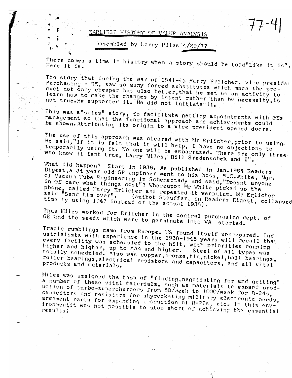## EARLIEST HISTORY OF VALUE ANALYSIS

issembled by Larry Miles 4/29/77

There comes a time in history when a story should be told"Like it is". Here it is.

77-4

The story that during the war of 1941-45 Harry Erlicher, vice presiden Purchasing - GE, saw so many forced substitutes which made the product not only cheaper but also better, that he set up an activity to learn how to make the changes by intent rather than by necessity, is not true. He supported it. He did not initiate it.

This was a"sales" story, to facilitate getting appointments with GEs management so that the functional approach and achievements could be shown. Attributing its origin to a vice president opened doors.

The use of this approach was cleared with Mr Erlicher, prior to using. He said,"If it is felt that it will help, I have no objections to temporarily using it. No one will be embarrased. There are only three who know it isnt true, Larry Miles, Bill Sredenschek and I".

÷

What did happen? Start in 1938. As published in Jan. 1964 Readers Digest, a 34 year old GE engineer went to his boss, W.C.White, Mgr. of Vacuum Tube Engineering in Schenectady and said, "Doesnt anyone in GE care what things cost"? Whereupon Mr White picked up the phone, called Harry Erlicher and repeated it verbatum. Mr Erlicher<br>said "Send him over". (authot Stouffer, in Readers Digest, collapsed time by using 1947 instead of the actual 1938).

Thus Miles worked for Erlicher in the central purchasing dept. of GE and the seeds which were to germinate into VA started.

Tragic rumblings came from Europe. US found itself unprepared. Industrialists with experience in the 1938-1945 years will recall that every facility was scheduled to the hilt, with priorities running higher and higher, up to AAA and higher. Steel of all types was totally scheduled. Also was copper, bronze, tin, nickel, ball bearings, roller bearings, electrical resistors and capacitors, and all vital products and materials.

Miles was assigned the task of "finding, negotiating for and getting" a number of these vital materials, such as materials to expand production of turbo-superchargers from 50/week to 1000/week for B-24s, capacitors and resistors for skyrocketing military electronic needs, armament parts for expanding production of B-29s, etc. In this environmentit was not possible to stop short of achieving the essential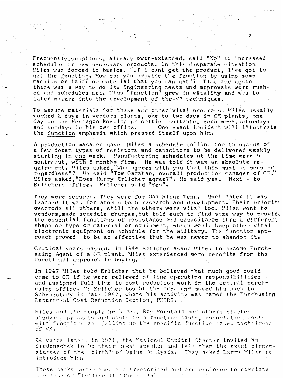Frequently, suppliers, already over-extended, said "No" to increased schedules or new necessary products. In this desparate situation Miles was forced to basics. "If I cant get the product. I've got to get the function. How can you provide the function by using some machine or labor or material that you can get"? Time and again there was a way to do it. Engineering tests and approvals were rushed and schedules met. Thus "function" grew in vitality and was to later mature into the development of the VA techniques.

To assure materials for these and other vital programs. Miles usually worked 2 days in vendors plants, one to two days in GE plants, one day in the Pentagon keeping priorities suitable, each week, saturdays and sundays in his own office. One exact incident will illustrate the function emphasis which pressed itself upon him.

A production manager gave Miles a schedule calling for thousands of a few dozen types of resistors and capacitors to be delivered weekly starting in one week. Manufacturing schedules at the time were 9 months out, with 6 months firm. He was told it was an absolute requirement. Miles asked, "Who agrees with you that this must be secured regardless"? He said "Tom Garahan, overall production manager of GE. Miles asked, "Does Harry Erlicher agree?". He said yes. Naxt - to Erlichers office. Erlicher said "Yes".

They were secured. They were for Oak Ridge Tenn. Much later it was learned it was for atomic bomb research and development. Their priority overrode all others, still the others were vital too. Miles went to vendors, made schedule changes, but told each to find some way to provide the essential functions of resistance and capacitance thru a different shape or type or material or equipment, which would keep other vital electronic equipment on schedule for the military. The function approach proved to be so effective that he was never to abandon it.

Critical years passed. In 1944 Erlicher asked Miles to become Purchasing Agent of a GE plant. Miles experienced more benefits from the functional approach in buying.

In 1947 Miles told Erlicher that he believed that much good could come to GE if he were relieved of line operating responsibilities and assigned full time to cost reduction work in the central purchasing office. Mr Erlicher bought the idea and moved him back to Schenectady in late 1947, where his activity was named the Purchasing Department Cost Reduction Section, PDCRS.

Miles and the people he hired, Roy Fountain and others started studying products and costs on a function basis, associating costs with functions and jelling up the specific function based techniques of VA.

24 years later, in 1971, the National Capital Chanter invited Wm Sredenschek to be their quest speaker and tell them the exact circumstances of the "birth" of Value Analysis. They asked Larry Miles to introduce him.

Those talks were taped and transcribed and are enclosed to complete the task of "telling it like it is"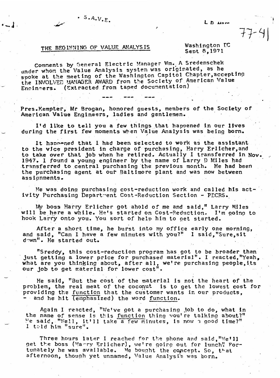## $L_D$   $\mu$

77-4

## $\cdot$  S.A.V.E.

 $\epsilon = 1$  .

THE BEGINNING OF VALUE ANALYSIS

Washington IC Sept 8.1971

Comments by General Electric Manager Wm. A Sredenschek under whom the Value Analysis system was originated, as he spoke at the meeting of the Washington Capitol Chapter, accepting the INVOLVED MANAGER AWARD from the Society of American Value Engineers. (Extracted from taped documentation)

Pres.Kempter, Mr Brogan, honored guests, members of the Society of American Value Engineers, ladies and gentlemen.

I'd like to tell you a few things that happened in our lives during the first few moments when Value Analysis was being born.

It happened that I had been selected to work as the assistant to the vice president in charge of purchasing, Harry Erlicher, and to take over that job when he retired. Actually I transferred in Nov. 1947. I found a young engineer by the name of Larry D Miles had transferred to central purchasing the previous month. He had been the purchasing agent at our Baltimore plant and was now between assionments.

He was doing purchasing cost-reduction work and called his activity Purchasing Department Cost-Reduction Section - PECRS.

My boss Harry Erlicher got ahold of me and said," Larry Miles will be here a while. He's started on Cost-Reduction. I'm going to hook Larry onto you. You sort of help him to get started.

After a short time, he burst into my office early one morning, and said, "Can I have a few minutes with you?" I said, "Sure, sit down". He started out.

"Sreddy, this cost-reduction program has got to be broader than just getting a lower price for purchased material". I reacted, "Yeah, what are you thinking about, after all, we're purchasing people, its our job to get material for lower cost".

He said, "But the cost of the material is not the heart of the problem, the real meat of the coconut is to get the lowest cost for providing the function that the customer wants in our products, - and he hit (emphasized) the word function.

Again I reacted, "We've got a purchasing job to do, what in the name of sense is this function thing you're talking about?" He said, "Well, it'll take a few minutes, is now a good time?" I told him "sure".

Three hours later I reached for the phone and said."We'll get the boss (Harry Erlicher), we're going out for lunch! Fortunately he was available. He bought the concept. So, that afternoon, though yet unnamed, Value Analysi's was born.